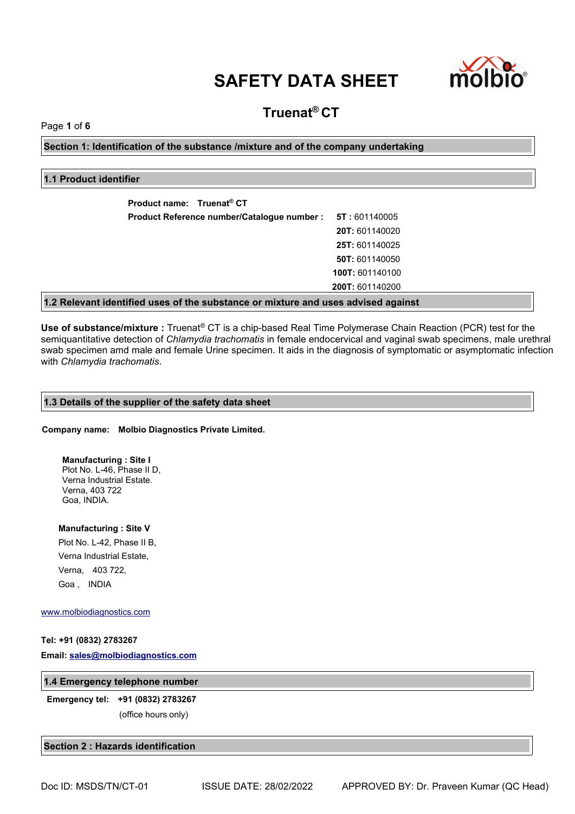

### **Truenat® CT**

Page **1** of **6**

**Section 1: Identification of the substance /mixture and of the company undertaking**

#### **1.1 Product identifier**

| Product name: Truenat <sup>®</sup> CT                                             |                        |
|-----------------------------------------------------------------------------------|------------------------|
| Product Reference number/Catalogue number :                                       | <b>5T</b> : 601140005  |
|                                                                                   | <b>20T: 601140020</b>  |
|                                                                                   | <b>25T: 601140025</b>  |
|                                                                                   | <b>50T: 601140050</b>  |
|                                                                                   | 100T: 601140100        |
|                                                                                   | <b>200T: 601140200</b> |
| 1.2 Relevant identified uses of the substance or mixture and uses advised against |                        |

**Use of substance/mixture :** Truenat® CT is a chip-based Real Time Polymerase Chain Reaction (PCR) test for the semiquantitative detection of *Chlamydia trachomatis* in female endocervical and vaginal swab specimens, male urethral swab specimen amd male and female Urine specimen. It aids in the diagnosis of symptomatic or asymptomatic infection with *Chlamydia trachomatis*.

#### **1.3 Details of the supplier of the safety data sheet**

#### **Company name: Molbio Diagnostics Private Limited.**

#### **Manufacturing : Site I** Plot No. L-46, Phase II D,

Verna Industrial Estate. Verna, 403 722 Goa, INDIA.

**Manufacturing : Site V**

Plot No. L-42, Phase II B, Verna Industrial Estate, Verna, 403 722, Goa , INDIA

[www.molbiodiagnostics.com](http://www.molbiodiagnostics.com)

#### **Tel: +91 (0832) 2783267**

**Email: [sales@molbiodiagnostics.com](mailto:sales@molbiodiagnostics.com)**

#### **1.4 Emergency telephone number**

**Emergency tel: +91 (0832) 2783267** (office hours only)

**Section 2 : Hazards identification**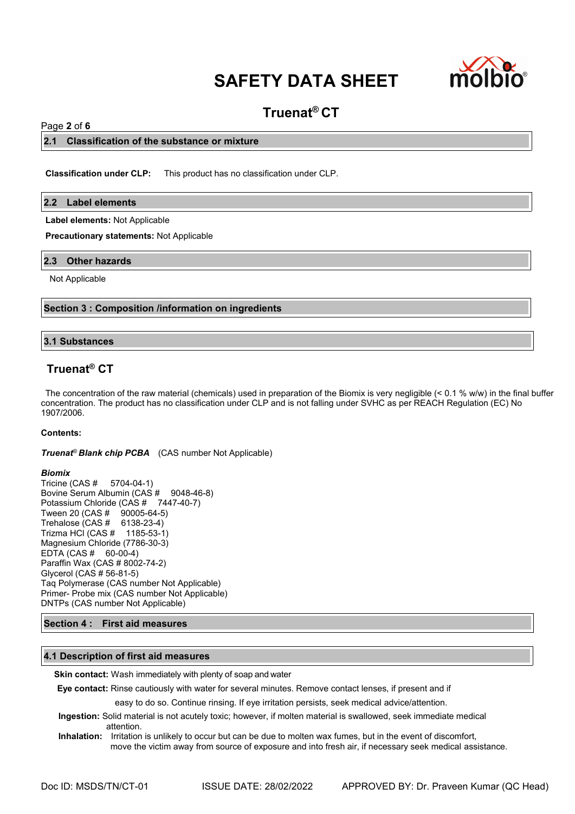

### **Truenat® CT**

#### Page **2** of **6**

#### **2.1 Classification of the substance or mixture**

**Classification under CLP:** This product has no classification under CLP.

#### **2.2 Label elements**

**Label elements:** Not Applicable

**Precautionary statements:** Not Applicable

#### **2.3 Other hazards**

Not Applicable

#### **Section 3 : Composition /information on ingredients**

#### **3.1 Substances**

#### **Truenat® CT**

The concentration of the raw material (chemicals) used in preparation of the Biomix is very negligible (< 0.1 % w/w) in the final buffer concentration. The product has no classification under CLP and is not falling under SVHC as per REACH Regulation (EC) No 1907/2006.

#### **Contents:**

*Truenat® Blank chip PCBA* (CAS number Not Applicable)

**Biomix**<br>Tricine (CAS # 5704-04-1) Tricine (CAS # Bovine Serum Albumin (CAS # 9048-46-8) Potassium Chloride (CAS # 7447-40-7) Tween 20 (CAS # 90005-64-5) Trehalose (CAS # 6138-23-4) Trizma HCl (CAS # 1185-53-1) Magnesium Chloride (7786-30-3) EDTA (CAS # 60-00-4) Paraffin Wax (CAS # 8002-74-2) Glycerol (CAS # 56-81-5) Taq Polymerase (CAS number Not Applicable) Primer- Probe mix (CAS number Not Applicable) DNTPs (CAS number Not Applicable)

#### **Section 4 : First aid measures**

#### **4.1 Description of first aid measures**

**Skin contact:** Wash immediately with plenty of soap and water

**Eye contact:** Rinse cautiously with water for several minutes. Remove contact lenses, if present and if

easy to do so. Continue rinsing. If eye irritation persists, seek medical advice/attention.

- **Ingestion:** Solid material is not acutely toxic; however, if molten material is swallowed, seek immediate medical attention.
- **Inhalation:** Irritation is unlikely to occur but can be due to molten wax fumes, but in the event of discomfort, move the victim away from source of exposure and into fresh air, if necessary seek medical assistance.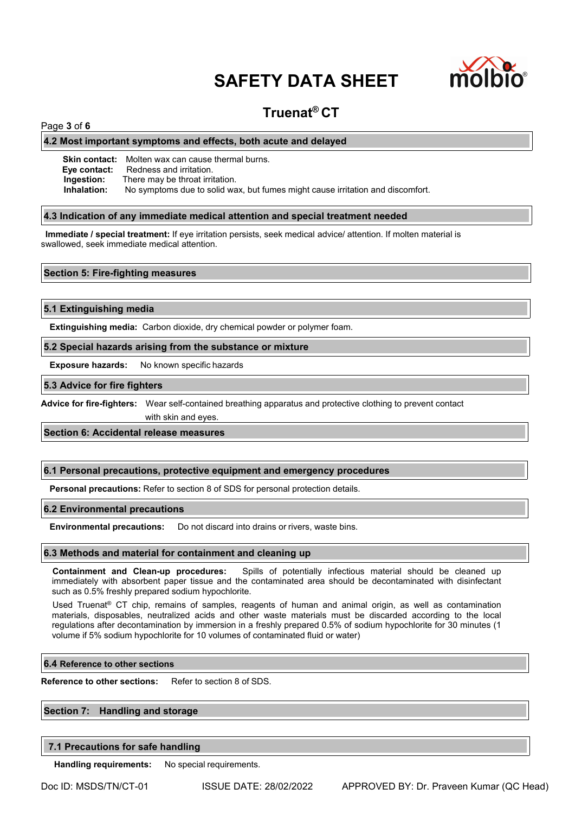

### **Truenat® CT**

#### Page **3** of **6**

#### **4.2 Most important symptoms and effects, both acute and delayed**

**Skin contact:** Molten wax can cause thermal burns. **Eye contact:** Redness and irritation.<br>**Ingestion:** There may be throat irrit **Ingestion:** There may be throat irritation.<br>**Inhalation:** No symptoms due to solid wa No symptoms due to solid wax, but fumes might cause irritation and discomfort.

#### **4.3 Indication of any immediate medical attention and special treatment needed**

**Immediate / special treatment:** If eye irritation persists, seek medical advice/ attention. If molten material is swallowed, seek immediate medical attention.

#### **Section 5: Fire-fighting measures**

#### **5.1 Extinguishing media**

**Extinguishing media:** Carbon dioxide, dry chemical powder or polymer foam.

#### **5.2 Special hazards arising from the substance or mixture**

**Exposure hazards:** No known specific hazards

#### **5.3 Advice for fire fighters**

**Advice for fire-fighters:** Wear self-contained breathing apparatus and protective clothing to prevent contact

with skin and eyes.

#### **Section 6: Accidental release measures**

#### **6.1 Personal precautions, protective equipment and emergency procedures**

**Personal precautions:** Refer to section 8 of SDS for personal protection details.

#### **6.2 Environmental precautions**

**Environmental precautions:** Do not discard into drains or rivers, waste bins.

#### **6.3 Methods and material for containment and cleaning up**

**Containment and Clean-up procedures:** Spills of potentially infectious material should be cleaned up immediately with absorbent paper tissue and the contaminated area should be decontaminated with disinfectant such as 0.5% freshly prepared sodium hypochlorite.

Used Truenat® CT chip, remains of samples, reagents of human and animal origin, as well as contamination materials, disposables, neutralized acids and other waste materials must be discarded according to the local regulations after decontamination by immersion in a freshly prepared 0.5% of sodium hypochlorite for 30 minutes (1 volume if 5% sodium hypochlorite for 10 volumes of contaminated fluid or water)

#### **6.4 Reference to other sections**

**Reference to other sections:** Refer to section 8 of SDS.

#### **Section 7: Handling and storage**

#### **7.1 Precautions for safe handling**

**Handling requirements:** No special requirements.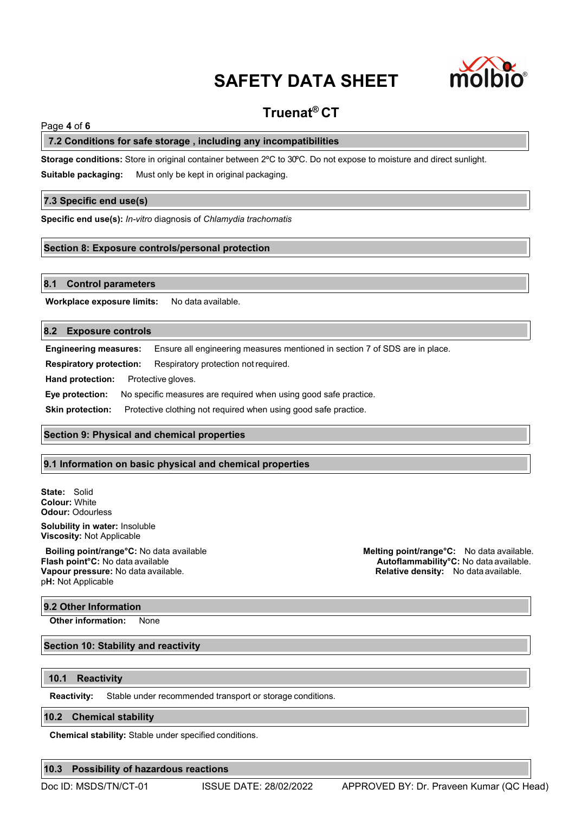

### **Truenat® CT**

#### Page **4** of **6**

#### **7.2 Conditions for safe storage , including any incompatibilities**

**Storage conditions:** Store in original container between 2ºC to 30ºC. Do not expose to moisture and direct sunlight.

**Suitable packaging:** Must only be kept in original packaging.

#### **7.3 Specific end use(s)**

**Specific end use(s):** *In-vitro* diagnosis of *Chlamydia trachomatis*

#### **Section 8: Exposure controls/personal protection**

#### **8.1 Control parameters**

**Workplace exposure limits:** No data available.

#### **8.2 Exposure controls**

**Engineering measures:** Ensure all engineering measures mentioned in section 7 of SDS are in place. **Respiratory protection:** Respiratory protection notrequired. **Hand protection:** Protective gloves. **Eye protection:** No specific measures are required when using good safe practice. **Skin protection:** Protective clothing not required when using good safe practice.

#### **Section 9: Physical and chemical properties**

#### **9.1 Information on basic physical and chemical properties**

**State:** Solid **Colour:** White **Odour:** Odourless

**Solubility in water:** Insoluble **Viscosity:** Not Applicable

**Vapour pressure:** No data available. **Relative density:** No data available. p**H:** Not Applicable

#### **9.2 Other Information**

**Other information:** None

#### **Section 10: Stability and reactivity**

#### **10.1 Reactivity**

**Reactivity:** Stable under recommended transport or storage conditions.

#### **10.2 Chemical stability**

**Chemical stability:** Stable under specified conditions.

#### **10.3 Possibility of hazardous reactions**

**Boiling point/range°C:** No data available **Melting point/range°C:** No data available.<br>**Flash point°C:** No data available **Flash point<sup>o</sup>C:** No data available. **Flash point°C:** No data available **Autoflammability°C:** No data available.

Doc ID: MSDS/TN/CT-01 ISSUE DATE: 28/02/2022 APPROVED BY: Dr. Praveen Kumar (QC Head)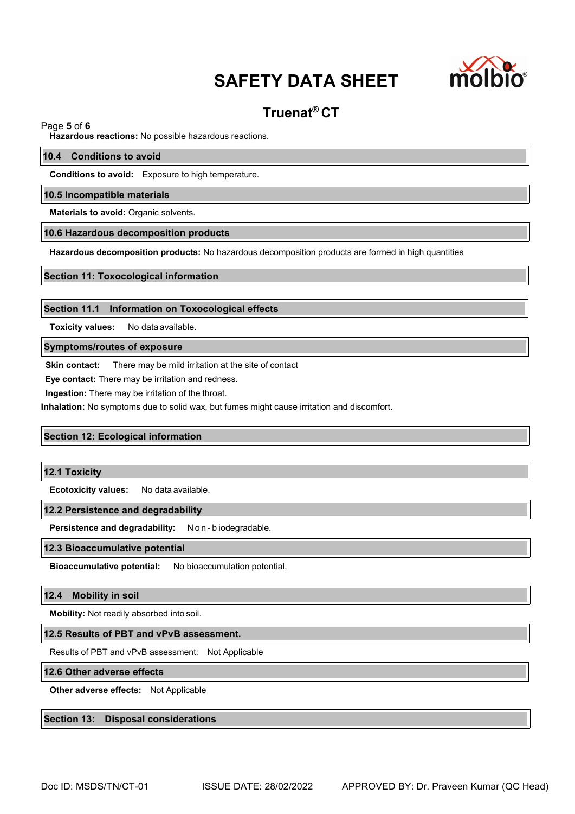

## **Truenat® CT**

Page **5** of **6**

**Hazardous reactions:** No possible hazardous reactions.

#### **10.4 Conditions to avoid**

**Conditions to avoid:** Exposure to high temperature.

#### **10.5 Incompatible materials**

**Materials to avoid:** Organic solvents.

#### **10.6 Hazardous decomposition products**

**Hazardous decomposition products:** No hazardous decomposition products are formed in high quantities

#### **Section 11: Toxocological information**

#### **Section 11.1 Information on Toxocological effects**

**Toxicity values:** No data available.

#### **Symptoms/routes of exposure**

**Skin contact:** There may be mild irritation at the site of contact

**Eye contact:**There may be irritation and redness.

**Ingestion:** There may be irritation of the throat.

**Inhalation:** No symptoms due to solid wax, but fumes might cause irritation and discomfort.

#### **Section 12: Ecological information**

#### **12.1 Toxicity**

**Ecotoxicity values:** No data available.

#### **12.2 Persistence and degradability**

**Persistence and degradability:** N o n - b iodegradable.

#### **12.3 Bioaccumulative potential**

**Bioaccumulative potential:** No bioaccumulation potential.

#### **12.4 Mobility in soil**

**Mobility:** Not readily absorbed into soil.

#### **12.5 Results of PBT and vPvB assessment.**

Results of PBT and vPvB assessment: Not Applicable

#### **12.6 Other adverse effects**

**Other adverse effects:** Not Applicable

#### **Section 13: Disposal considerations**